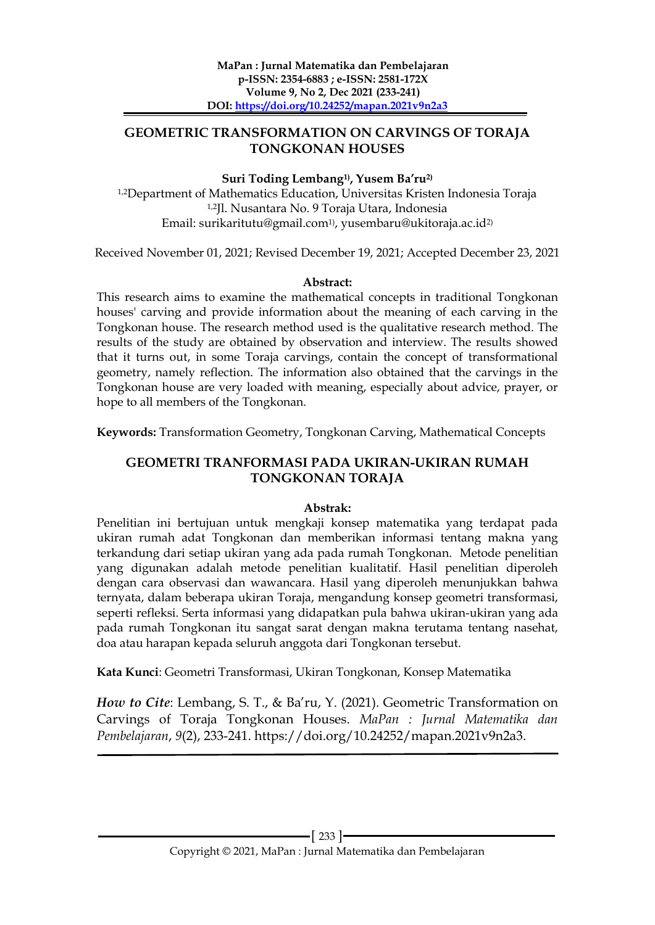## **GEOMETRIC TRANSFORMATION ON CARVINGS OF TORAJA TONGKONAN HOUSES**

#### **Suri Toding Lembang1) , Yusem Ba'ru2)**

1,2Department of Mathematics Education, Universitas Kristen Indonesia Toraja 1,2Jl. Nusantara No. 9 Toraja Utara, Indonesia Email: surikaritutu@gmail.com1) , yusembaru@ukitoraja.ac.id2)

Received November 01, 2021; Revised December 19, 2021; Accepted December 23, 2021

#### **Abstract:**

This research aims to examine the mathematical concepts in traditional Tongkonan houses' carving and provide information about the meaning of each carving in the Tongkonan house. The research method used is the qualitative research method. The results of the study are obtained by observation and interview. The results showed that it turns out, in some Toraja carvings, contain the concept of transformational geometry, namely reflection. The information also obtained that the carvings in the Tongkonan house are very loaded with meaning, especially about advice, prayer, or hope to all members of the Tongkonan.

**Keywords:** Transformation Geometry, Tongkonan Carving, Mathematical Concepts

# **GEOMETRI TRANFORMASI PADA UKIRAN-UKIRAN RUMAH TONGKONAN TORAJA**

## **Abstrak:**

Penelitian ini bertujuan untuk mengkaji konsep matematika yang terdapat pada ukiran rumah adat Tongkonan dan memberikan informasi tentang makna yang terkandung dari setiap ukiran yang ada pada rumah Tongkonan. Metode penelitian yang digunakan adalah metode penelitian kualitatif. Hasil penelitian diperoleh dengan cara observasi dan wawancara. Hasil yang diperoleh menunjukkan bahwa ternyata, dalam beberapa ukiran Toraja, mengandung konsep geometri transformasi, seperti refleksi. Serta informasi yang didapatkan pula bahwa ukiran-ukiran yang ada pada rumah Tongkonan itu sangat sarat dengan makna terutama tentang nasehat, doa atau harapan kepada seluruh anggota dari Tongkonan tersebut.

**Kata Kunci**: Geometri Transformasi, Ukiran Tongkonan, Konsep Matematika

*How to Cite*: Lembang, S. T., & Ba'ru, Y. (2021). Geometric Transformation on Carvings of Toraja Tongkonan Houses. *MaPan : Jurnal Matematika dan Pembelajaran*, *9*(2), 233-241. https://doi.org/10.24252/mapan.2021v9n2a3.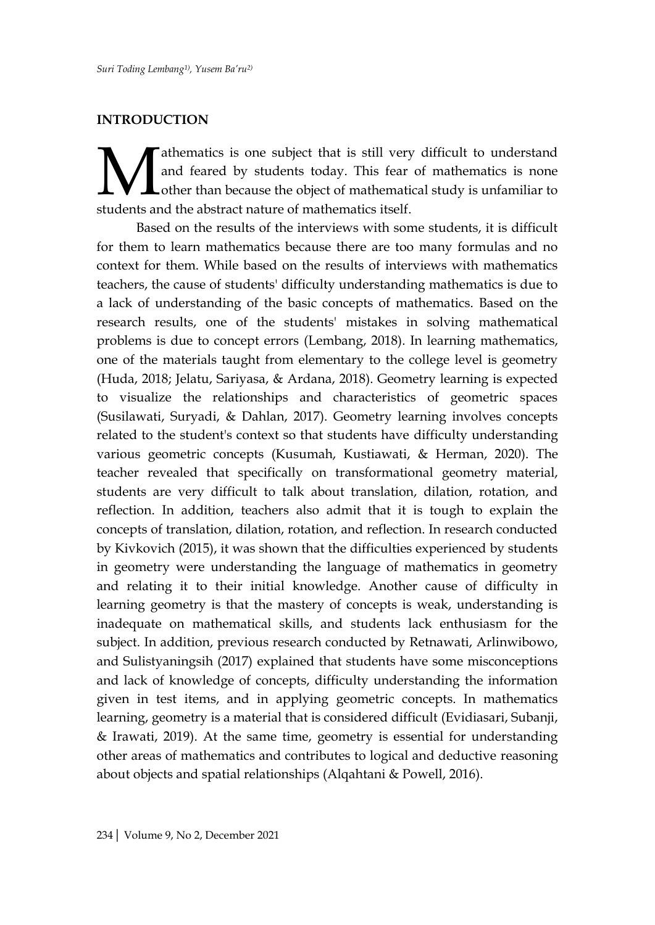#### **INTRODUCTION**

athematics is one subject that is still very difficult to understand and feared by students today. This fear of mathematics is none Lother than because the object of mathematical study is unfamiliar to **Starting and feared by students today.** This fear and the abstract nature of mathematics itself.

Based on the results of the interviews with some students, it is difficult for them to learn mathematics because there are too many formulas and no context for them. While based on the results of interviews with mathematics teachers, the cause of students' difficulty understanding mathematics is due to a lack of understanding of the basic concepts of mathematics. Based on the research results, one of the students' mistakes in solving mathematical problems is due to concept errors (Lembang, 2018). In learning mathematics, one of the materials taught from elementary to the college level is geometry (Huda, 2018; Jelatu, Sariyasa, & Ardana, 2018). Geometry learning is expected to visualize the relationships and characteristics of geometric spaces (Susilawati, Suryadi, & Dahlan, 2017). Geometry learning involves concepts related to the student's context so that students have difficulty understanding various geometric concepts (Kusumah, Kustiawati, & Herman, 2020). The teacher revealed that specifically on transformational geometry material, students are very difficult to talk about translation, dilation, rotation, and reflection. In addition, teachers also admit that it is tough to explain the concepts of translation, dilation, rotation, and reflection. In research conducted by Kivkovich (2015), it was shown that the difficulties experienced by students in geometry were understanding the language of mathematics in geometry and relating it to their initial knowledge. Another cause of difficulty in learning geometry is that the mastery of concepts is weak, understanding is inadequate on mathematical skills, and students lack enthusiasm for the subject. In addition, previous research conducted by Retnawati, Arlinwibowo, and Sulistyaningsih (2017) explained that students have some misconceptions and lack of knowledge of concepts, difficulty understanding the information given in test items, and in applying geometric concepts. In mathematics learning, geometry is a material that is considered difficult (Evidiasari, Subanji, & Irawati, 2019). At the same time, geometry is essential for understanding other areas of mathematics and contributes to logical and deductive reasoning about objects and spatial relationships (Alqahtani & Powell, 2016).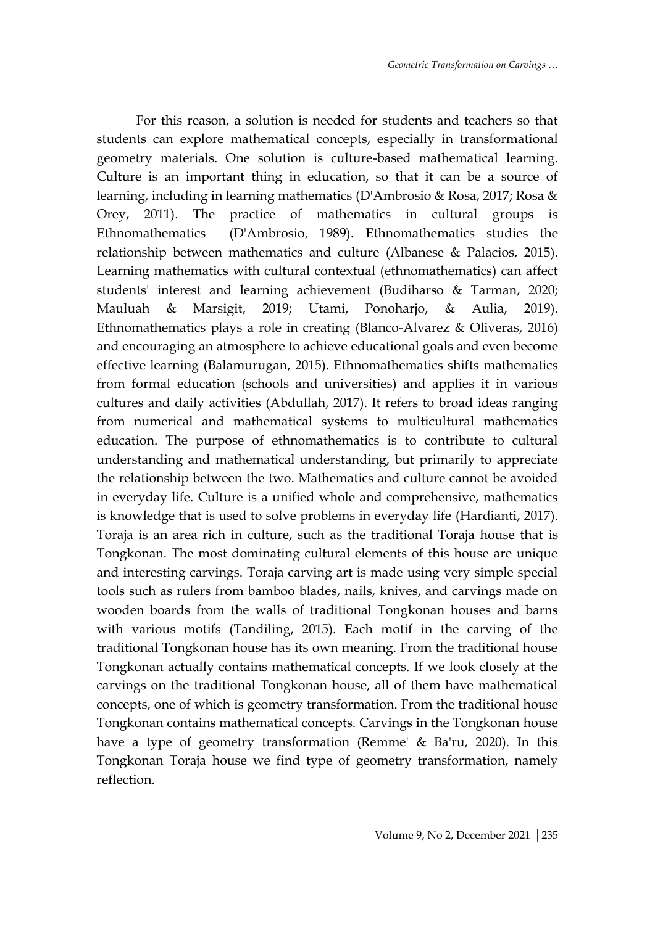For this reason, a solution is needed for students and teachers so that students can explore mathematical concepts, especially in transformational geometry materials. One solution is culture-based mathematical learning. Culture is an important thing in education, so that it can be a source of learning, including in learning mathematics (D'Ambrosio & Rosa, 2017; Rosa & Orey, 2011). The practice of mathematics in cultural groups is Ethnomathematics (D'Ambrosio, 1989). Ethnomathematics studies the relationship between mathematics and culture (Albanese & Palacios, 2015). Learning mathematics with cultural contextual (ethnomathematics) can affect students' interest and learning achievement (Budiharso & Tarman, 2020; Mauluah & Marsigit, 2019; Utami, Ponoharjo, & Aulia, 2019). Ethnomathematics plays a role in creating (Blanco-Alvarez & Oliveras, 2016) and encouraging an atmosphere to achieve educational goals and even become effective learning (Balamurugan, 2015). Ethnomathematics shifts mathematics from formal education (schools and universities) and applies it in various cultures and daily activities (Abdullah, 2017). It refers to broad ideas ranging from numerical and mathematical systems to multicultural mathematics education. The purpose of ethnomathematics is to contribute to cultural understanding and mathematical understanding, but primarily to appreciate the relationship between the two. Mathematics and culture cannot be avoided in everyday life. Culture is a unified whole and comprehensive, mathematics is knowledge that is used to solve problems in everyday life (Hardianti, 2017). Toraja is an area rich in culture, such as the traditional Toraja house that is Tongkonan. The most dominating cultural elements of this house are unique and interesting carvings. Toraja carving art is made using very simple special tools such as rulers from bamboo blades, nails, knives, and carvings made on wooden boards from the walls of traditional Tongkonan houses and barns with various motifs (Tandiling, 2015). Each motif in the carving of the traditional Tongkonan house has its own meaning. From the traditional house Tongkonan actually contains mathematical concepts. If we look closely at the carvings on the traditional Tongkonan house, all of them have mathematical concepts, one of which is geometry transformation. From the traditional house Tongkonan contains mathematical concepts. Carvings in the Tongkonan house have a type of geometry transformation (Remme' & Ba'ru, 2020). In this Tongkonan Toraja house we find type of geometry transformation, namely reflection.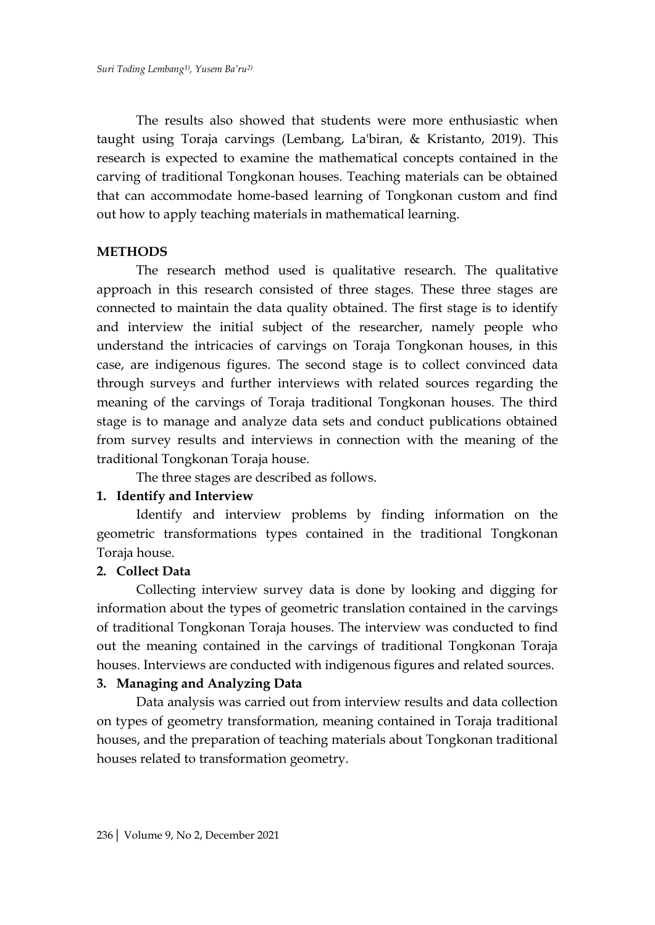The results also showed that students were more enthusiastic when taught using Toraja carvings (Lembang, La'biran, & Kristanto, 2019). This research is expected to examine the mathematical concepts contained in the carving of traditional Tongkonan houses. Teaching materials can be obtained that can accommodate home-based learning of Tongkonan custom and find out how to apply teaching materials in mathematical learning.

#### **METHODS**

The research method used is qualitative research. The qualitative approach in this research consisted of three stages. These three stages are connected to maintain the data quality obtained. The first stage is to identify and interview the initial subject of the researcher, namely people who understand the intricacies of carvings on Toraja Tongkonan houses, in this case, are indigenous figures. The second stage is to collect convinced data through surveys and further interviews with related sources regarding the meaning of the carvings of Toraja traditional Tongkonan houses. The third stage is to manage and analyze data sets and conduct publications obtained from survey results and interviews in connection with the meaning of the traditional Tongkonan Toraja house.

The three stages are described as follows.

## **1. Identify and Interview**

Identify and interview problems by finding information on the geometric transformations types contained in the traditional Tongkonan Toraja house.

## **2. Collect Data**

Collecting interview survey data is done by looking and digging for information about the types of geometric translation contained in the carvings of traditional Tongkonan Toraja houses. The interview was conducted to find out the meaning contained in the carvings of traditional Tongkonan Toraja houses. Interviews are conducted with indigenous figures and related sources.

## **3. Managing and Analyzing Data**

Data analysis was carried out from interview results and data collection on types of geometry transformation, meaning contained in Toraja traditional houses, and the preparation of teaching materials about Tongkonan traditional houses related to transformation geometry.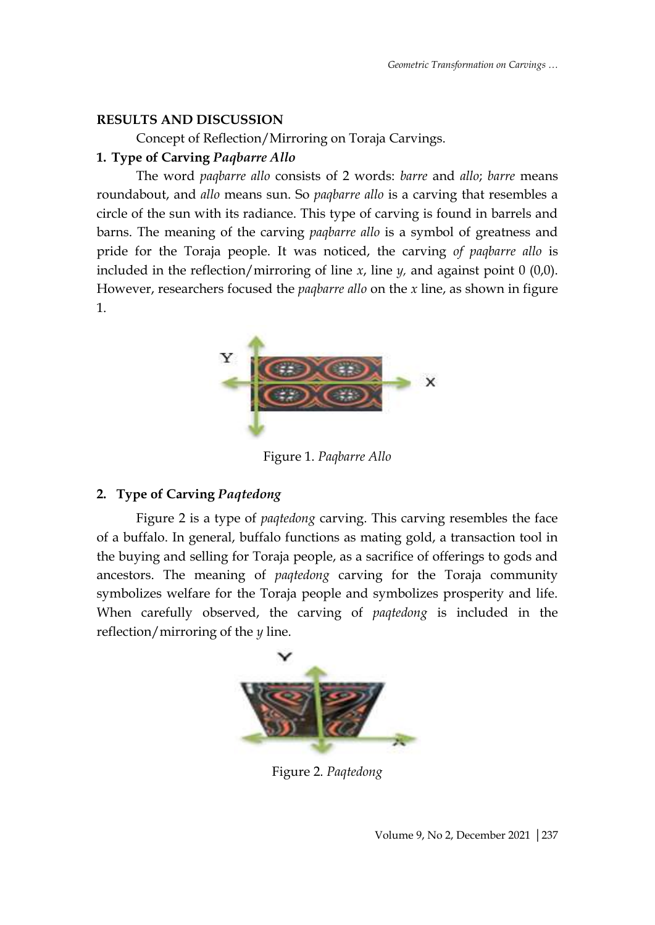# **RESULTS AND DISCUSSION**

Concept of Reflection/Mirroring on Toraja Carvings.

# **1. Type of Carving** *Paqbarre Allo*

The word *paqbarre allo* consists of 2 words: *barre* and *allo*; *barre* means roundabout, and *allo* means sun. So *paqbarre allo* is a carving that resembles a circle of the sun with its radiance. This type of carving is found in barrels and barns. The meaning of the carving *paqbarre allo* is a symbol of greatness and pride for the Toraja people. It was noticed, the carving *of paqbarre allo* is included in the reflection/mirroring of line *x*, line *y,* and against point 0 (0,0). However, researchers focused the *paqbarre allo* on the *x* line, as shown in figure 1.



Figure 1. *Paqbarre Allo*

# **2. Type of Carving** *Paqtedong*

Figure 2 is a type of *paqtedong* carving. This carving resembles the face of a buffalo. In general, buffalo functions as mating gold, a transaction tool in the buying and selling for Toraja people, as a sacrifice of offerings to gods and ancestors. The meaning of *paqtedong* carving for the Toraja community symbolizes welfare for the Toraja people and symbolizes prosperity and life. When carefully observed, the carving of *paqtedong* is included in the reflection/mirroring of the *y* line.



Figure 2. *Paqtedong*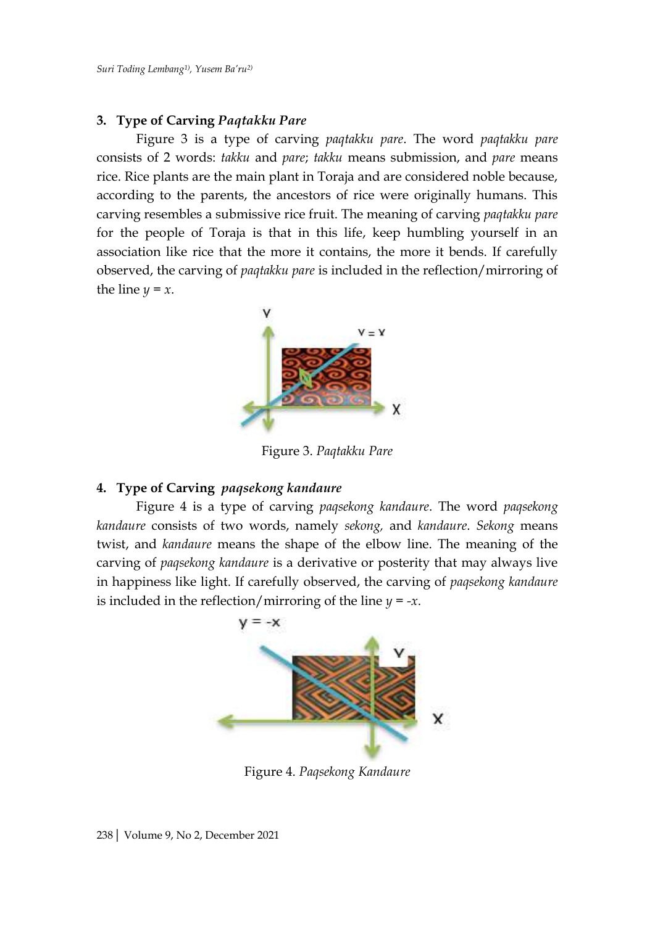#### **3. Type of Carving** *Paqtakku Pare*

Figure 3 is a type of carving *paqtakku pare*. The word *paqtakku pare* consists of 2 words: *takku* and *pare*; *takku* means submission, and *pare* means rice. Rice plants are the main plant in Toraja and are considered noble because, according to the parents, the ancestors of rice were originally humans. This carving resembles a submissive rice fruit. The meaning of carving *paqtakku pare* for the people of Toraja is that in this life, keep humbling yourself in an association like rice that the more it contains, the more it bends. If carefully observed, the carving of *paqtakku pare* is included in the reflection/mirroring of the line  $y = x$ .



Figure 3. *Paqtakku Pare*

#### **4. Type of Carving** *paqsekong kandaure*

Figure 4 is a type of carving *paqsekong kandaure*. The word *paqsekong kandaure* consists of two words, namely *sekong,* and *kandaure*. *Sekong* means twist, and *kandaure* means the shape of the elbow line. The meaning of the carving of *paqsekong kandaure* is a derivative or posterity that may always live in happiness like light. If carefully observed, the carving of *paqsekong kandaure* is included in the reflection/mirroring of the line *y = -x*.



Figure 4. *Paqsekong Kandaure*

238| Volume 9, No 2, December 2021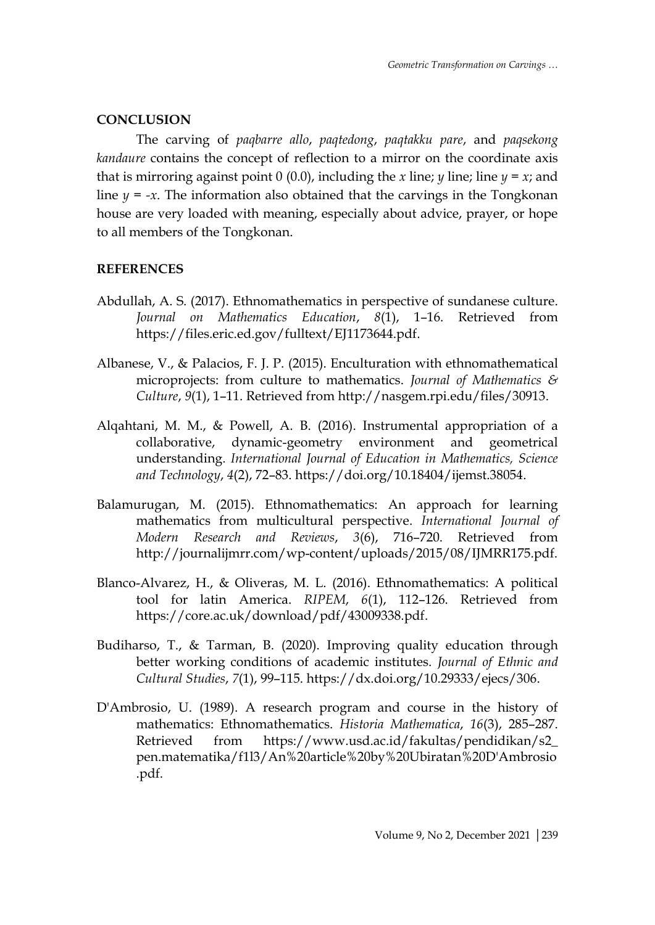## **CONCLUSION**

The carving of *paqbarre allo*, *paqtedong*, *paqtakku pare*, and *paqsekong kandaure* contains the concept of reflection to a mirror on the coordinate axis that is mirroring against point 0 (0.0), including the *x* line; *y* line; line  $y = x$ ; and line  $y = -x$ . The information also obtained that the carvings in the Tongkonan house are very loaded with meaning, especially about advice, prayer, or hope to all members of the Tongkonan.

## **REFERENCES**

- Abdullah, A. S. (2017). Ethnomathematics in perspective of sundanese culture. *Journal on Mathematics Education*, *8*(1), 1–16. Retrieved from https://files.eric.ed.gov/fulltext/EJ1173644.pdf.
- Albanese, V., & Palacios, F. J. P. (2015). Enculturation with ethnomathematical microprojects: from culture to mathematics. *Journal of Mathematics & Culture*, *9*(1), 1–11. Retrieved from http://nasgem.rpi.edu/files/30913.
- Alqahtani, M. M., & Powell, A. B. (2016). Instrumental appropriation of a collaborative, dynamic-geometry environment and geometrical understanding. *International Journal of Education in Mathematics, Science and Technology*, *4*(2), 72–83. https://doi.org/10.18404/ijemst.38054.
- Balamurugan, M. (2015). Ethnomathematics: An approach for learning mathematics from multicultural perspective. *International Journal of Modern Research and Reviews*, *3*(6), 716–720. Retrieved from http://journalijmrr.com/wp-content/uploads/2015/08/IJMRR175.pdf.
- Blanco-Alvarez, H., & Oliveras, M. L. (2016). Ethnomathematics: A political tool for latin America. *RIPEM*, *6*(1), 112–126. Retrieved from https://core.ac.uk/download/pdf/43009338.pdf.
- Budiharso, T., & Tarman, B. (2020). Improving quality education through better working conditions of academic institutes. *Journal of Ethnic and Cultural Studies*, *7*(1), 99–115. https://dx.doi.org/10.29333/ejecs/306.
- D'Ambrosio, U. (1989). A research program and course in the history of mathematics: Ethnomathematics. *Historia Mathematica*, *16*(3), 285–287. Retrieved from https://www.usd.ac.id/fakultas/pendidikan/s2\_ pen.matematika/f1l3/An%20article%20by%20Ubiratan%20D'Ambrosio .pdf.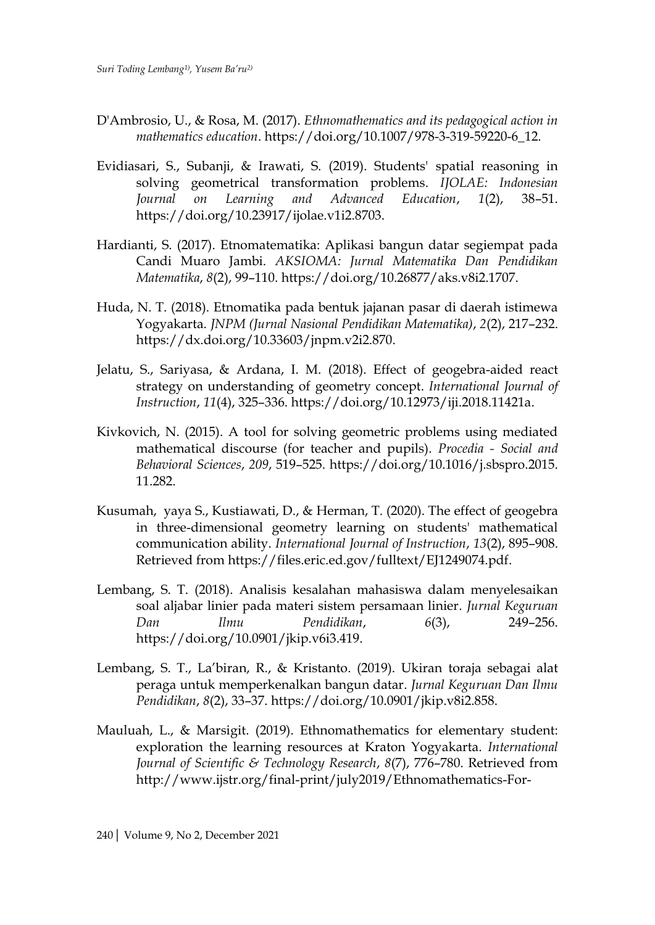- D'Ambrosio, U., & Rosa, M. (2017). *Ethnomathematics and its pedagogical action in mathematics education*. https://doi.org/10.1007/978-3-319-59220-6\_12.
- Evidiasari, S., Subanji, & Irawati, S. (2019). Students' spatial reasoning in solving geometrical transformation problems. *IJOLAE: Indonesian Journal on Learning and Advanced Education*, *1*(2), 38–51. https://doi.org/10.23917/ijolae.v1i2.8703.
- Hardianti, S. (2017). Etnomatematika: Aplikasi bangun datar segiempat pada Candi Muaro Jambi. *AKSIOMA: Jurnal Matematika Dan Pendidikan Matematika*, *8*(2), 99–110. https://doi.org/10.26877/aks.v8i2.1707.
- Huda, N. T. (2018). Etnomatika pada bentuk jajanan pasar di daerah istimewa Yogyakarta. *JNPM (Jurnal Nasional Pendidikan Matematika)*, *2*(2), 217–232. https://dx.doi.org/10.33603/jnpm.v2i2.870.
- Jelatu, S., Sariyasa, & Ardana, I. M. (2018). Effect of geogebra-aided react strategy on understanding of geometry concept. *International Journal of Instruction*, *11*(4), 325–336. https://doi.org/10.12973/iji.2018.11421a.
- Kivkovich, N. (2015). A tool for solving geometric problems using mediated mathematical discourse (for teacher and pupils). *Procedia - Social and Behavioral Sciences*, *209*, 519–525. https://doi.org/10.1016/j.sbspro.2015. 11.282.
- Kusumah, yaya S., Kustiawati, D., & Herman, T. (2020). The effect of geogebra in three-dimensional geometry learning on students' mathematical communication ability. *International Journal of Instruction*, *13*(2), 895–908. Retrieved from https://files.eric.ed.gov/fulltext/EJ1249074.pdf.
- Lembang, S. T. (2018). Analisis kesalahan mahasiswa dalam menyelesaikan soal aljabar linier pada materi sistem persamaan linier. *Jurnal Keguruan Dan Ilmu Pendidikan*, *6*(3), 249–256. https://doi.org/10.0901/jkip.v6i3.419.
- Lembang, S. T., La'biran, R., & Kristanto. (2019). Ukiran toraja sebagai alat peraga untuk memperkenalkan bangun datar. *Jurnal Keguruan Dan Ilmu Pendidikan*, *8*(2), 33–37. https://doi.org/10.0901/jkip.v8i2.858.
- Mauluah, L., & Marsigit. (2019). Ethnomathematics for elementary student: exploration the learning resources at Kraton Yogyakarta. *International Journal of Scientific & Technology Research*, *8*(7), 776–780. Retrieved from http://www.ijstr.org/final-print/july2019/Ethnomathematics-For-